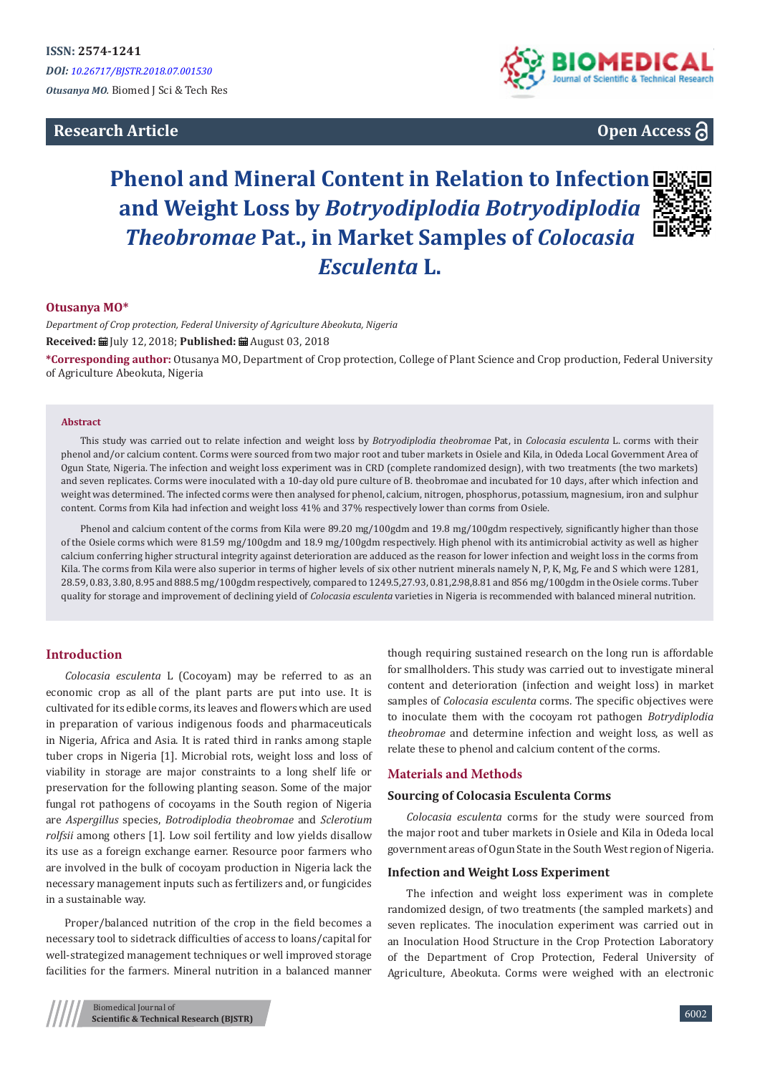## **Research Article**



# **Open Access**

# **Phenol and Mineral Content in Relation to Infection and Weight Loss by** *Botryodiplodia Botryodiplodia Theobromae* **Pat., in Market Samples of** *Colocasia Esculenta* **L.**



#### **Otusanya MO\***

*Department of Crop protection, Federal University of Agriculture Abeokuta, Nigeria* **Received:** July 12, 2018; **Published:** August 03, 2018

**\*Corresponding author:** Otusanya MO, Department of Crop protection, College of Plant Science and Crop production, Federal University of Agriculture Abeokuta, Nigeria

#### **Abstract**

This study was carried out to relate infection and weight loss by *Botryodiplodia theobromae* Pat, in *Colocasia esculenta* L. corms with their phenol and/or calcium content. Corms were sourced from two major root and tuber markets in Osiele and Kila, in Odeda Local Government Area of Ogun State, Nigeria. The infection and weight loss experiment was in CRD (complete randomized design), with two treatments (the two markets) and seven replicates. Corms were inoculated with a 10-day old pure culture of B. theobromae and incubated for 10 days, after which infection and weight was determined. The infected corms were then analysed for phenol, calcium, nitrogen, phosphorus, potassium, magnesium, iron and sulphur content. Corms from Kila had infection and weight loss 41% and 37% respectively lower than corms from Osiele.

Phenol and calcium content of the corms from Kila were 89.20 mg/100gdm and 19.8 mg/100gdm respectively, significantly higher than those of the Osiele corms which were 81.59 mg/100gdm and 18.9 mg/100gdm respectively. High phenol with its antimicrobial activity as well as higher calcium conferring higher structural integrity against deterioration are adduced as the reason for lower infection and weight loss in the corms from Kila. The corms from Kila were also superior in terms of higher levels of six other nutrient minerals namely N, P, K, Mg, Fe and S which were 1281, 28.59, 0.83, 3.80, 8.95 and 888.5 mg/100gdm respectively, compared to 1249.5,27.93, 0.81,2.98,8.81 and 856 mg/100gdm in the Osiele corms. Tuber quality for storage and improvement of declining yield of *Colocasia esculenta* varieties in Nigeria is recommended with balanced mineral nutrition.

#### **Introduction**

*Colocasia esculenta* L (Cocoyam) may be referred to as an economic crop as all of the plant parts are put into use. It is cultivated for its edible corms, its leaves and flowers which are used in preparation of various indigenous foods and pharmaceuticals in Nigeria, Africa and Asia. It is rated third in ranks among staple tuber crops in Nigeria [1]. Microbial rots, weight loss and loss of viability in storage are major constraints to a long shelf life or preservation for the following planting season. Some of the major fungal rot pathogens of cocoyams in the South region of Nigeria are *Aspergillus* species, *Botrodiplodia theobromae* and *Sclerotium rolfsii* among others [1]. Low soil fertility and low yields disallow its use as a foreign exchange earner. Resource poor farmers who are involved in the bulk of cocoyam production in Nigeria lack the necessary management inputs such as fertilizers and, or fungicides in a sustainable way.

Proper/balanced nutrition of the crop in the field becomes a necessary tool to sidetrack difficulties of access to loans/capital for well-strategized management techniques or well improved storage facilities for the farmers. Mineral nutrition in a balanced manner though requiring sustained research on the long run is affordable for smallholders. This study was carried out to investigate mineral content and deterioration (infection and weight loss) in market samples of *Colocasia esculenta* corms*.* The specific objectives were to inoculate them with the cocoyam rot pathogen *Botrydiplodia theobromae* and determine infection and weight loss, as well as relate these to phenol and calcium content of the corms.

## **Materials and Methods**

## **Sourcing of Colocasia Esculenta Corms**

*Colocasia esculenta* corms for the study were sourced from the major root and tuber markets in Osiele and Kila in Odeda local government areas of Ogun State in the South West region of Nigeria.

#### **Infection and Weight Loss Experiment**

The infection and weight loss experiment was in complete randomized design, of two treatments (the sampled markets) and seven replicates. The inoculation experiment was carried out in an Inoculation Hood Structure in the Crop Protection Laboratory of the Department of Crop Protection, Federal University of Agriculture, Abeokuta. Corms were weighed with an electronic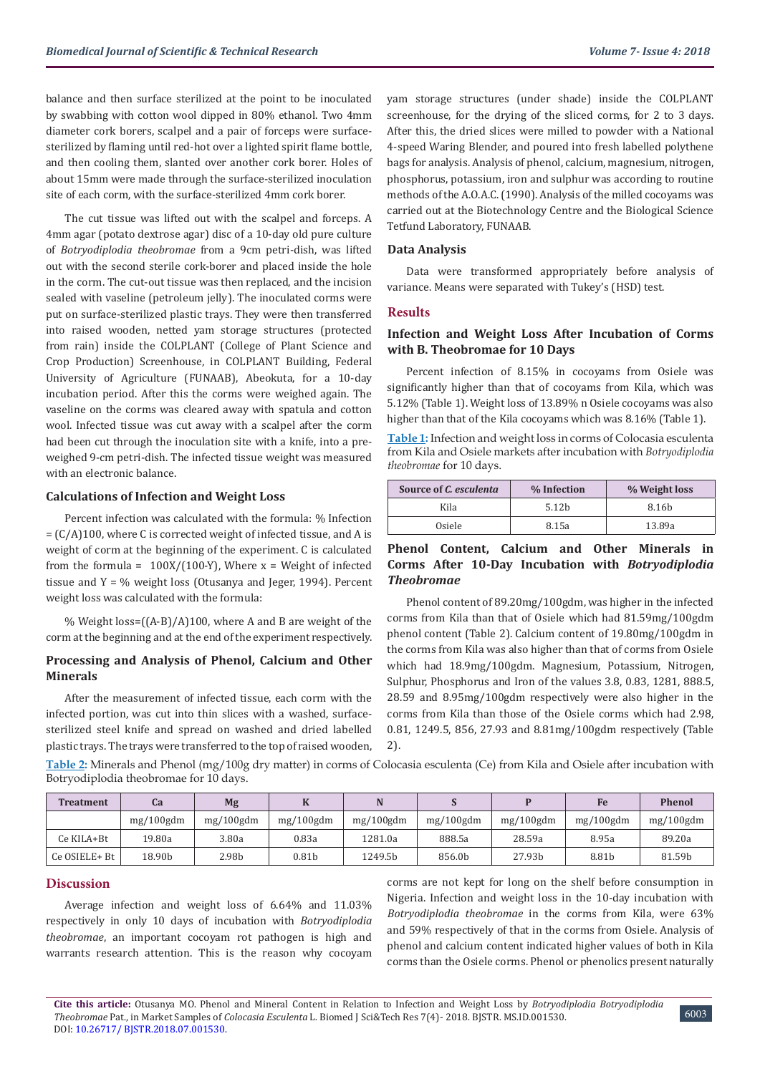balance and then surface sterilized at the point to be inoculated by swabbing with cotton wool dipped in 80% ethanol. Two 4mm diameter cork borers, scalpel and a pair of forceps were surfacesterilized by flaming until red-hot over a lighted spirit flame bottle, and then cooling them, slanted over another cork borer. Holes of about 15mm were made through the surface-sterilized inoculation site of each corm, with the surface-sterilized 4mm cork borer.

The cut tissue was lifted out with the scalpel and forceps. A 4mm agar (potato dextrose agar) disc of a 10-day old pure culture of *Botryodiplodia theobromae* from a 9cm petri-dish, was lifted out with the second sterile cork-borer and placed inside the hole in the corm. The cut-out tissue was then replaced, and the incision sealed with vaseline (petroleum jelly). The inoculated corms were put on surface-sterilized plastic trays. They were then transferred into raised wooden, netted yam storage structures (protected from rain) inside the COLPLANT (College of Plant Science and Crop Production) Screenhouse, in COLPLANT Building, Federal University of Agriculture (FUNAAB), Abeokuta, for a 10-day incubation period. After this the corms were weighed again. The vaseline on the corms was cleared away with spatula and cotton wool. Infected tissue was cut away with a scalpel after the corm had been cut through the inoculation site with a knife, into a preweighed 9-cm petri-dish. The infected tissue weight was measured with an electronic balance.

## **Calculations of Infection and Weight Loss**

Percent infection was calculated with the formula: % Infection  $= (C/A)100$ , where C is corrected weight of infected tissue, and A is weight of corm at the beginning of the experiment. C is calculated from the formula =  $100X/(100-Y)$ , Where x = Weight of infected tissue and Y = % weight loss (Otusanya and Jeger, 1994). Percent weight loss was calculated with the formula:

% Weight loss= $((A-B)/A)100$ , where A and B are weight of the corm at the beginning and at the end of the experiment respectively.

## **Processing and Analysis of Phenol, Calcium and Other Minerals**

After the measurement of infected tissue, each corm with the infected portion, was cut into thin slices with a washed, surfacesterilized steel knife and spread on washed and dried labelled plastic trays. The trays were transferred to the top of raised wooden, yam storage structures (under shade) inside the COLPLANT screenhouse, for the drying of the sliced corms, for 2 to 3 days. After this, the dried slices were milled to powder with a National 4-speed Waring Blender, and poured into fresh labelled polythene bags for analysis. Analysis of phenol, calcium, magnesium, nitrogen, phosphorus, potassium, iron and sulphur was according to routine methods of the A.O.A.C. (1990). Analysis of the milled cocoyams was carried out at the Biotechnology Centre and the Biological Science Tetfund Laboratory, FUNAAB.

#### **Data Analysis**

Data were transformed appropriately before analysis of variance. Means were separated with Tukey's (HSD) test.

## **Results**

## **Infection and Weight Loss After Incubation of Corms with B. Theobromae for 10 Days**

Percent infection of 8.15% in cocoyams from Osiele was significantly higher than that of cocoyams from Kila, which was 5.12% (Table 1). Weight loss of 13.89% n Osiele cocoyams was also higher than that of the Kila cocoyams which was 8.16% (Table 1).

**Table 1:** Infection and weight loss in corms of Colocasia esculenta from Kila and Osiele markets after incubation with *Botryodiplodia theobromae* for 10 days.

| Source of C. esculenta | % Infection       | % Weight loss     |  |  |
|------------------------|-------------------|-------------------|--|--|
| Kila                   | 5.12 <sub>b</sub> | 8.16 <sub>b</sub> |  |  |
| Osiele                 | 8.15a             | 13.89a            |  |  |

## **Phenol Content, Calcium and Other Minerals in Corms After 10-Day Incubation with** *Botryodiplodia Theobromae*

Phenol content of 89.20mg/100gdm, was higher in the infected corms from Kila than that of Osiele which had 81.59mg/100gdm phenol content (Table 2). Calcium content of 19.80mg/100gdm in the corms from Kila was also higher than that of corms from Osiele which had 18.9mg/100gdm. Magnesium, Potassium, Nitrogen, Sulphur, Phosphorus and Iron of the values 3.8, 0.83, 1281, 888.5, 28.59 and 8.95mg/100gdm respectively were also higher in the corms from Kila than those of the Osiele corms which had 2.98, 0.81, 1249.5, 856, 27.93 and 8.81mg/100gdm respectively (Table 2).

**Table 2:** Minerals and Phenol (mg/100g dry matter) in corms of Colocasia esculenta (Ce) from Kila and Osiele after incubation with Botryodiplodia theobromae for 10 days.

| Treatment     | Ca           | Mg           |                   |              |              |              | Fe           | <b>Phenol</b> |
|---------------|--------------|--------------|-------------------|--------------|--------------|--------------|--------------|---------------|
|               | $mg/100$ gdm | $mg/100$ gdm | $mg/100$ gdm      | $mg/100$ gdm | $mg/100$ gdm | $mg/100$ gdm | $mg/100$ gdm | $mg/100$ gdm  |
| Ce KILA+Bt    | 19.80a       | 3.80a        | 0.83a             | 1281.0a      | 888.5a       | 28.59a       | 8.95a        | 89.20a        |
| Ce OSIELE+ Bt | 18.90b       | 2.98b        | 0.81 <sub>b</sub> | 1249.5b      | 856.0b       | 27.93b       | 8.81b        | 81.59b        |

#### **Discussion**

Average infection and weight loss of 6.64% and 11.03% respectively in only 10 days of incubation with *Botryodiplodia theobromae*, an important cocoyam rot pathogen is high and warrants research attention. This is the reason why cocoyam

corms are not kept for long on the shelf before consumption in Nigeria. Infection and weight loss in the 10-day incubation with *Botryodiplodia theobromae* in the corms from Kila, were 63% and 59% respectively of that in the corms from Osiele. Analysis of phenol and calcium content indicated higher values of both in Kila corms than the Osiele corms. Phenol or phenolics present naturally